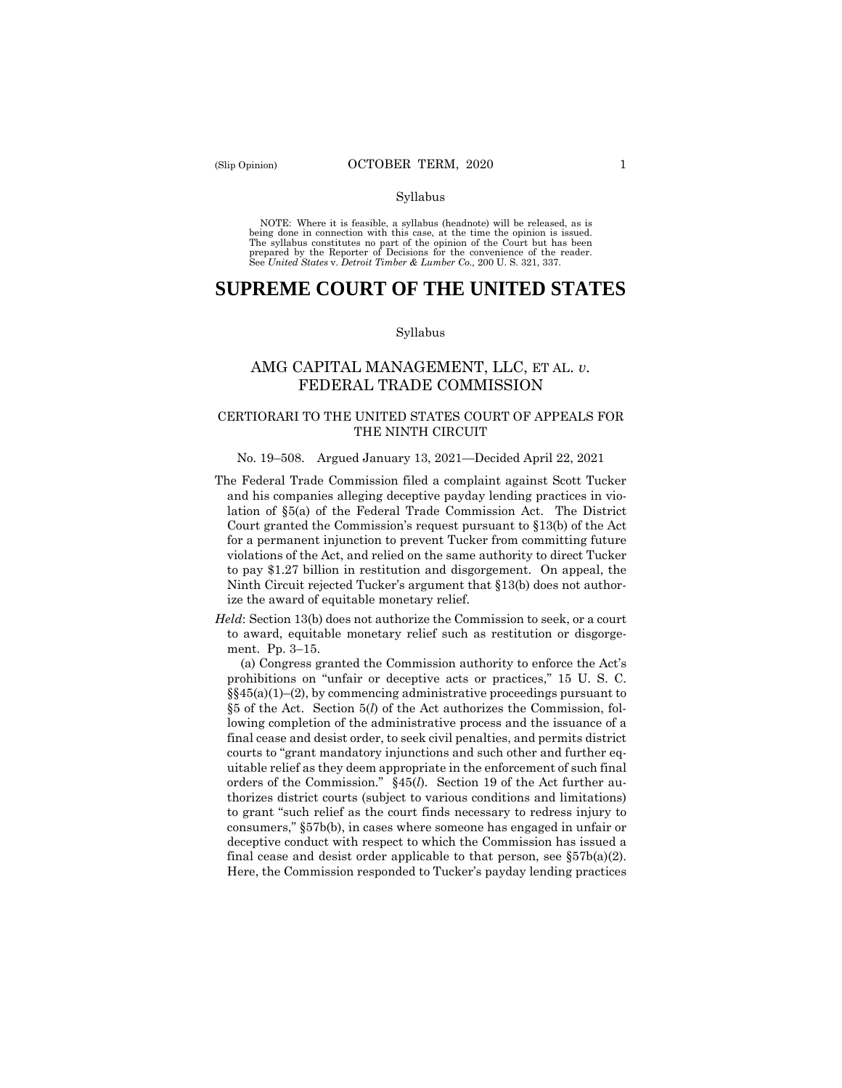#### Syllabus

 NOTE: Where it is feasible, a syllabus (headnote) will be released, as is being done in connection with this case, at the time the opinion is issued. The syllabus constitutes no part of the opinion of the Court but has been<br>prepared by the Reporter of Decisions for the convenience of the reader.<br>See United States v. Detroit Timber & Lumber Co., 200 U.S. 321, 337.

# **SUPREME COURT OF THE UNITED STATES**

#### Syllabus

## AMG CAPITAL MANAGEMENT, LLC, ET AL. *v.*  FEDERAL TRADE COMMISSION

## CERTIORARI TO THE UNITED STATES COURT OF APPEALS FOR THE NINTH CIRCUIT

#### No. 19–508. Argued January 13, 2021—Decided April 22, 2021

- The Federal Trade Commission filed a complaint against Scott Tucker and his companies alleging deceptive payday lending practices in violation of §5(a) of the Federal Trade Commission Act. The District Court granted the Commission's request pursuant to §13(b) of the Act for a permanent injunction to prevent Tucker from committing future violations of the Act, and relied on the same authority to direct Tucker to pay \$1.27 billion in restitution and disgorgement. On appeal, the Ninth Circuit rejected Tucker's argument that §13(b) does not authorize the award of equitable monetary relief.
- *Held*: Section 13(b) does not authorize the Commission to seek, or a court to award, equitable monetary relief such as restitution or disgorgement. Pp. 3–15.

final cease and desist order applicable to that person, see  $\S 57b(a)(2)$ . (a) Congress granted the Commission authority to enforce the Act's prohibitions on "unfair or deceptive acts or practices," 15 U. S. C.  $\S(45(a)(1)–(2))$ , by commencing administrative proceedings pursuant to §5 of the Act. Section 5(*l*) of the Act authorizes the Commission, following completion of the administrative process and the issuance of a final cease and desist order, to seek civil penalties, and permits district courts to "grant mandatory injunctions and such other and further equitable relief as they deem appropriate in the enforcement of such final orders of the Commission." §45(*l*). Section 19 of the Act further authorizes district courts (subject to various conditions and limitations) to grant "such relief as the court finds necessary to redress injury to consumers," §57b(b), in cases where someone has engaged in unfair or deceptive conduct with respect to which the Commission has issued a Here, the Commission responded to Tucker's payday lending practices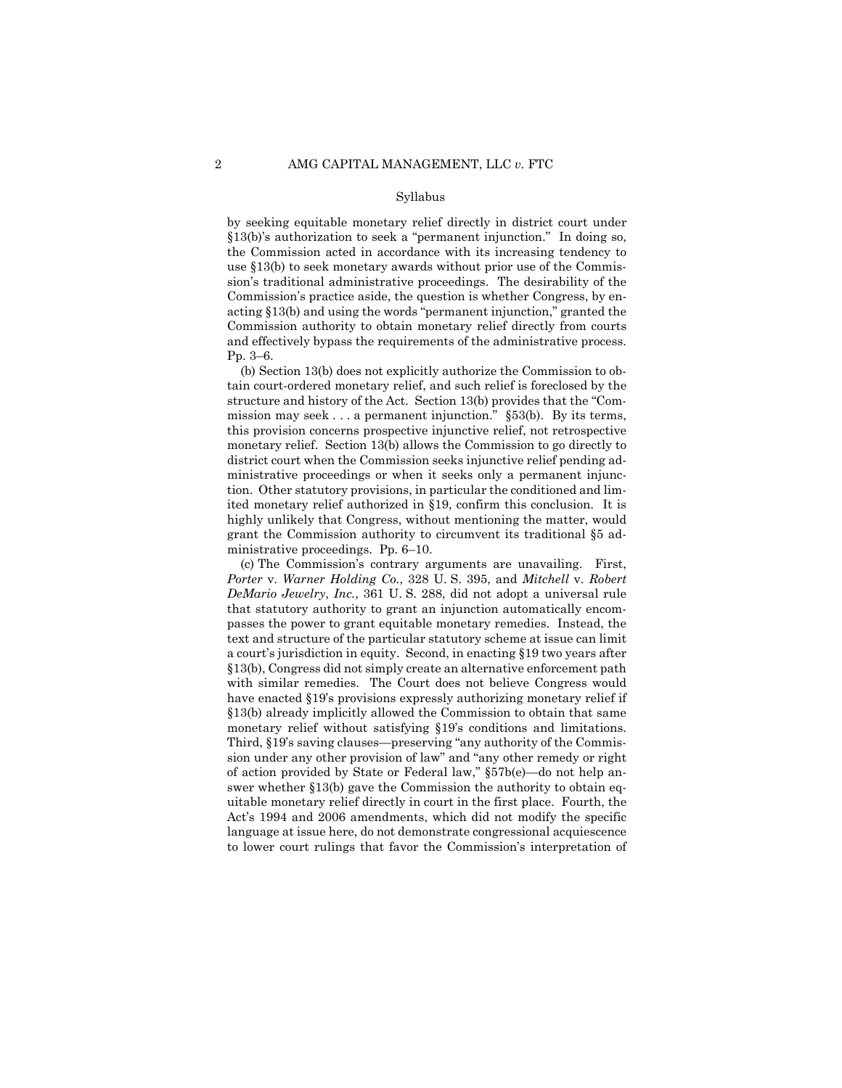#### Syllabus

 and effectively bypass the requirements of the administrative process. by seeking equitable monetary relief directly in district court under §13(b)'s authorization to seek a "permanent injunction." In doing so, the Commission acted in accordance with its increasing tendency to use §13(b) to seek monetary awards without prior use of the Commission's traditional administrative proceedings. The desirability of the Commission's practice aside, the question is whether Congress, by enacting §13(b) and using the words "permanent injunction," granted the Commission authority to obtain monetary relief directly from courts Pp. 3–6.

(b) Section 13(b) does not explicitly authorize the Commission to obtain court-ordered monetary relief, and such relief is foreclosed by the structure and history of the Act. Section 13(b) provides that the "Commission may seek . . . a permanent injunction." §53(b). By its terms, this provision concerns prospective injunctive relief, not retrospective monetary relief. Section 13(b) allows the Commission to go directly to district court when the Commission seeks injunctive relief pending administrative proceedings or when it seeks only a permanent injunction. Other statutory provisions, in particular the conditioned and limited monetary relief authorized in §19, confirm this conclusion. It is highly unlikely that Congress, without mentioning the matter, would grant the Commission authority to circumvent its traditional §5 administrative proceedings. Pp. 6–10.

(c) The Commission's contrary arguments are unavailing. First, *Porter* v. *Warner Holding Co.*, 328 U. S. 395, and *Mitchell* v. *Robert DeMario Jewelry*, *Inc.*, 361 U. S. 288, did not adopt a universal rule that statutory authority to grant an injunction automatically encompasses the power to grant equitable monetary remedies. Instead, the text and structure of the particular statutory scheme at issue can limit a court's jurisdiction in equity. Second, in enacting §19 two years after §13(b), Congress did not simply create an alternative enforcement path with similar remedies. The Court does not believe Congress would have enacted §19's provisions expressly authorizing monetary relief if §13(b) already implicitly allowed the Commission to obtain that same monetary relief without satisfying §19's conditions and limitations. Third, §19's saving clauses—preserving "any authority of the Commission under any other provision of law" and "any other remedy or right of action provided by State or Federal law," §57b(e)—do not help answer whether §13(b) gave the Commission the authority to obtain equitable monetary relief directly in court in the first place. Fourth, the Act's 1994 and 2006 amendments, which did not modify the specific language at issue here, do not demonstrate congressional acquiescence to lower court rulings that favor the Commission's interpretation of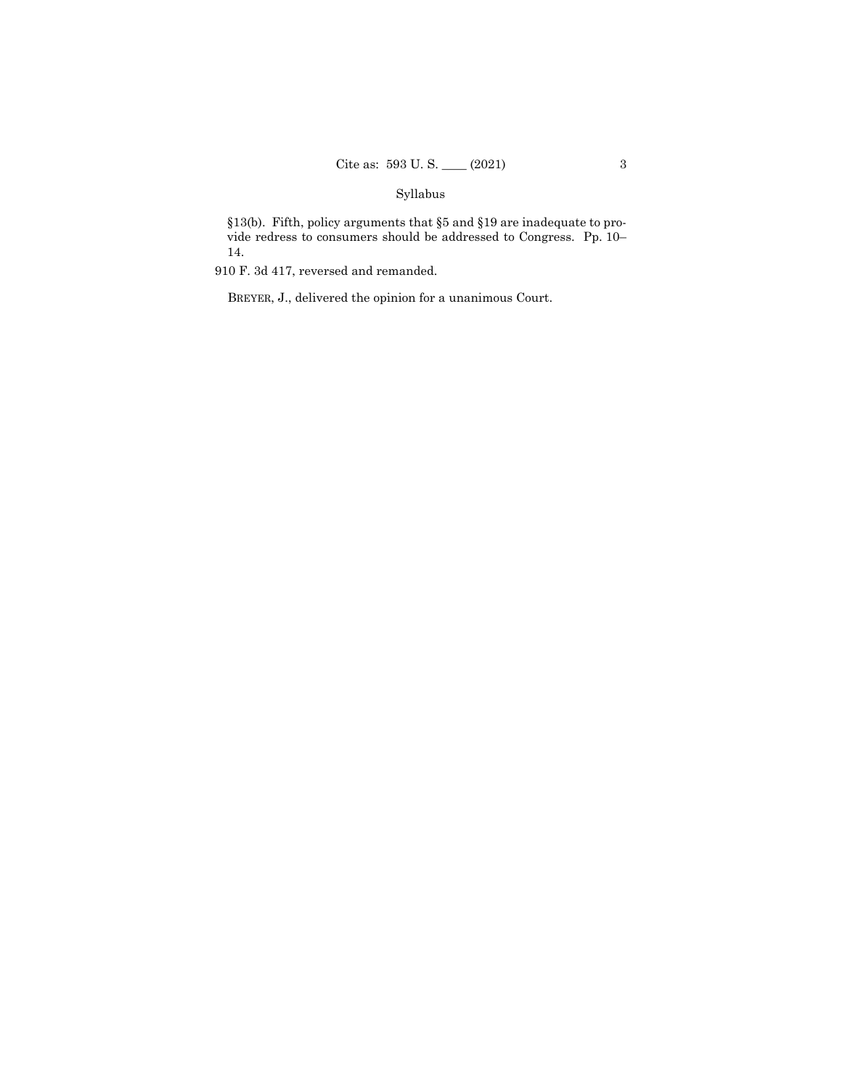## Syllabus

§13(b). Fifth, policy arguments that §5 and §19 are inadequate to provide redress to consumers should be addressed to Congress. Pp. 10– 14.

910 F. 3d 417, reversed and remanded.

BREYER, J., delivered the opinion for a unanimous Court.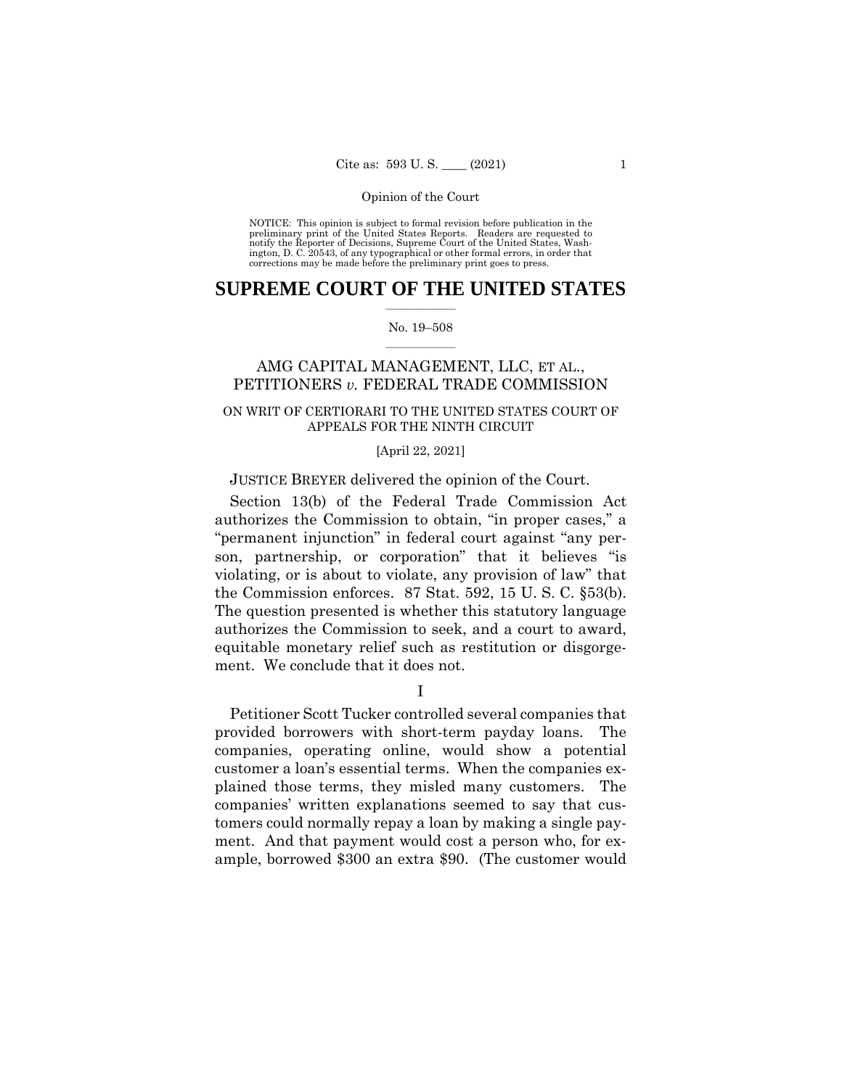NOTICE: This opinion is subject to formal revision before publication in the preliminary print of the United States Reports. Readers are requested to notify the Reporter of Decisions, Supreme Court of the United States, Wash-ington, D. C. 20543, of any typographical or other formal errors, in order that corrections may be made before the preliminary print goes to press.

## $\frac{1}{2}$  ,  $\frac{1}{2}$  ,  $\frac{1}{2}$  ,  $\frac{1}{2}$  ,  $\frac{1}{2}$  ,  $\frac{1}{2}$  ,  $\frac{1}{2}$ **SUPREME COURT OF THE UNITED STATES**

#### $\frac{1}{2}$  ,  $\frac{1}{2}$  ,  $\frac{1}{2}$  ,  $\frac{1}{2}$  ,  $\frac{1}{2}$  ,  $\frac{1}{2}$ No. 19–508

## AMG CAPITAL MANAGEMENT, LLC, ET AL., PETITIONERS *v.* FEDERAL TRADE COMMISSION

## ON WRIT OF CERTIORARI TO THE UNITED STATES COURT OF APPEALS FOR THE NINTH CIRCUIT

#### [April 22, 2021]

## JUSTICE BREYER delivered the opinion of the Court.

Section 13(b) of the Federal Trade Commission Act authorizes the Commission to obtain, "in proper cases," a "permanent injunction" in federal court against "any person, partnership, or corporation" that it believes "is violating, or is about to violate, any provision of law" that the Commission enforces. 87 Stat. 592, 15 U. S. C. §53(b). The question presented is whether this statutory language authorizes the Commission to seek, and a court to award, equitable monetary relief such as restitution or disgorgement. We conclude that it does not.

I

Petitioner Scott Tucker controlled several companies that provided borrowers with short-term payday loans. The companies, operating online, would show a potential customer a loan's essential terms. When the companies explained those terms, they misled many customers. The companies' written explanations seemed to say that customers could normally repay a loan by making a single payment. And that payment would cost a person who, for example, borrowed \$300 an extra \$90. (The customer would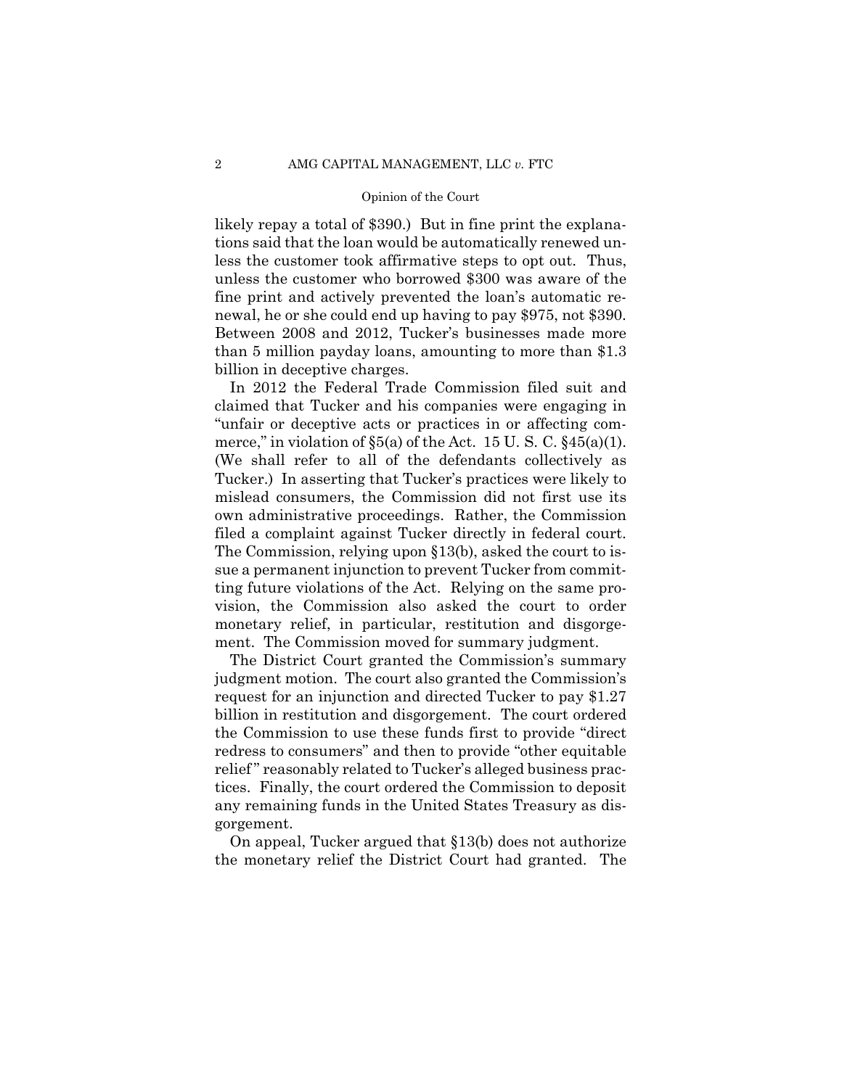likely repay a total of \$390.) But in fine print the explanations said that the loan would be automatically renewed unless the customer took affirmative steps to opt out. Thus, unless the customer who borrowed \$300 was aware of the fine print and actively prevented the loan's automatic renewal, he or she could end up having to pay \$975, not \$390. Between 2008 and 2012, Tucker's businesses made more than 5 million payday loans, amounting to more than \$1.3 billion in deceptive charges.

In 2012 the Federal Trade Commission filed suit and claimed that Tucker and his companies were engaging in "unfair or deceptive acts or practices in or affecting commerce," in violation of  $\S5(a)$  of the Act. 15 U. S. C.  $\S45(a)(1)$ .<br>(We shall refer to all of the defendants collectively as Tucker.) In asserting that Tucker's practices were likely to mislead consumers, the Commission did not first use its own administrative proceedings. Rather, the Commission filed a complaint against Tucker directly in federal court. The Commission, relying upon §13(b), asked the court to issue a permanent injunction to prevent Tucker from committing future violations of the Act. Relying on the same provision, the Commission also asked the court to order monetary relief, in particular, restitution and disgorgement. The Commission moved for summary judgment.

The District Court granted the Commission's summary judgment motion. The court also granted the Commission's request for an injunction and directed Tucker to pay \$1.27 billion in restitution and disgorgement. The court ordered the Commission to use these funds first to provide "direct redress to consumers" and then to provide "other equitable relief" reasonably related to Tucker's alleged business practices. Finally, the court ordered the Commission to deposit any remaining funds in the United States Treasury as disgorgement.

On appeal, Tucker argued that §13(b) does not authorize the monetary relief the District Court had granted. The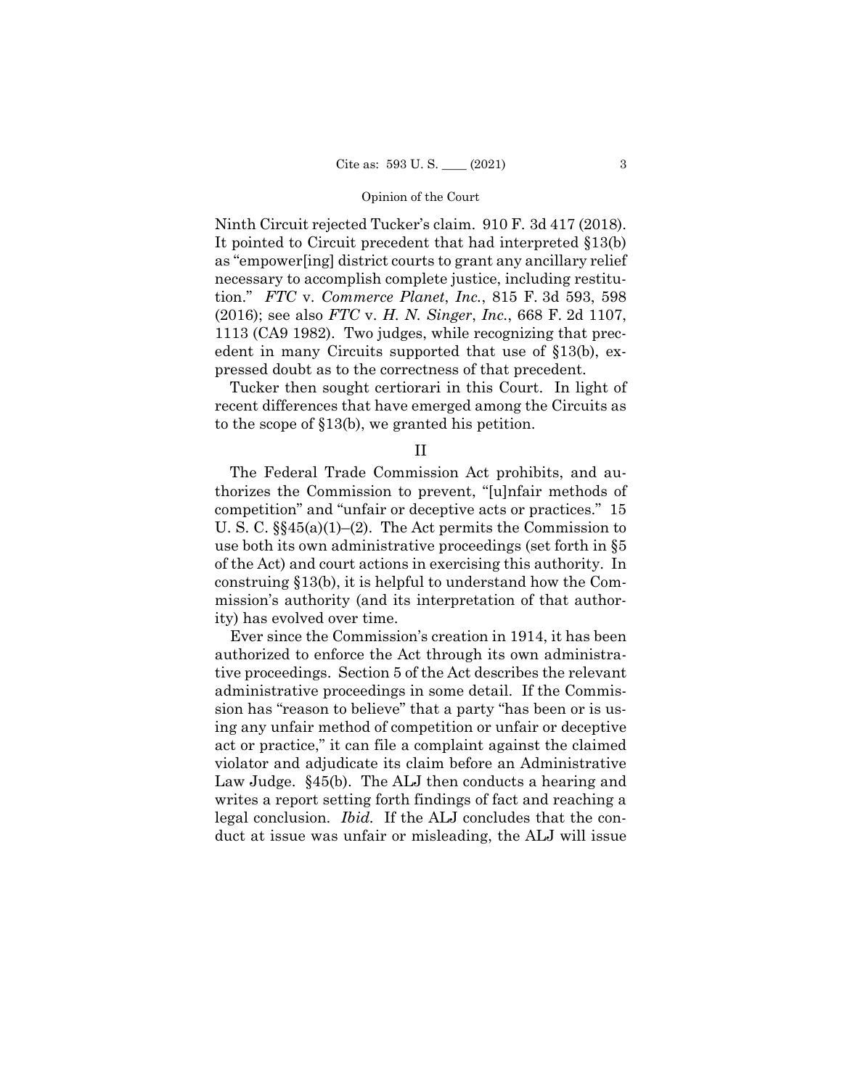Ninth Circuit rejected Tucker's claim. 910 F. 3d 417 (2018). It pointed to Circuit precedent that had interpreted §13(b) as "empower[ing] district courts to grant any ancillary relief necessary to accomplish complete justice, including restitution." *FTC* v. *Commerce Planet*, *Inc.*, 815 F. 3d 593, 598 (2016); see also *FTC* v. *H. N. Singer*, *Inc.*, 668 F. 2d 1107, 1113 (CA9 1982). Two judges, while recognizing that precedent in many Circuits supported that use of §13(b), expressed doubt as to the correctness of that precedent.

Tucker then sought certiorari in this Court. In light of recent differences that have emerged among the Circuits as to the scope of §13(b), we granted his petition.

II

The Federal Trade Commission Act prohibits, and authorizes the Commission to prevent, "[u]nfair methods of competition" and "unfair or deceptive acts or practices." 15 U. S. C. §§45(a)(1)–(2). The Act permits the Commission to use both its own administrative proceedings (set forth in §5 of the Act) and court actions in exercising this authority. In construing §13(b), it is helpful to understand how the Commission's authority (and its interpretation of that authority) has evolved over time.

Ever since the Commission's creation in 1914, it has been authorized to enforce the Act through its own administrative proceedings. Section 5 of the Act describes the relevant administrative proceedings in some detail. If the Commission has "reason to believe" that a party "has been or is using any unfair method of competition or unfair or deceptive act or practice," it can file a complaint against the claimed violator and adjudicate its claim before an Administrative Law Judge. §45(b). The ALJ then conducts a hearing and writes a report setting forth findings of fact and reaching a legal conclusion. *Ibid.* If the ALJ concludes that the conduct at issue was unfair or misleading, the ALJ will issue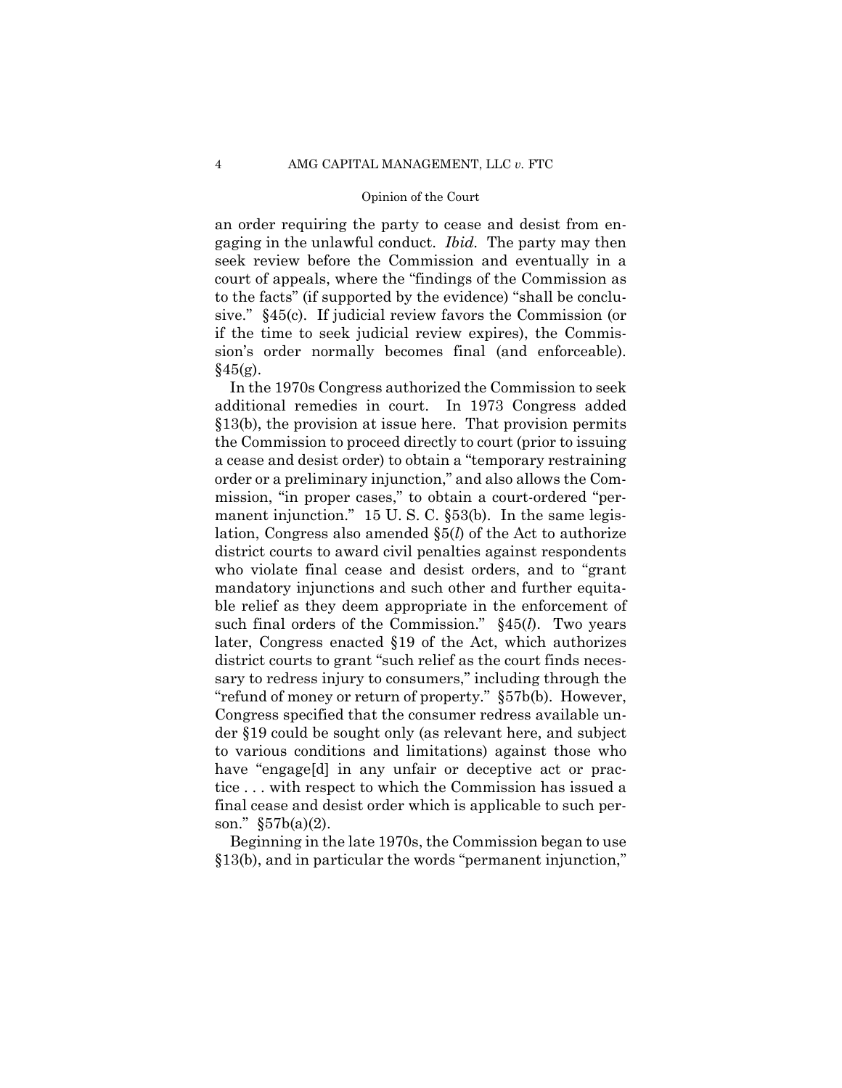an order requiring the party to cease and desist from engaging in the unlawful conduct. *Ibid.* The party may then seek review before the Commission and eventually in a court of appeals, where the "findings of the Commission as to the facts" (if supported by the evidence) "shall be conclusive." §45(c). If judicial review favors the Commission (or if the time to seek judicial review expires), the Commission's order normally becomes final (and enforceable).  $§45(g).$ 

In the 1970s Congress authorized the Commission to seek additional remedies in court. In 1973 Congress added §13(b), the provision at issue here. That provision permits the Commission to proceed directly to court (prior to issuing a cease and desist order) to obtain a "temporary restraining order or a preliminary injunction," and also allows the Commission, "in proper cases," to obtain a court-ordered "permanent injunction." 15 U.S.C. §53(b). In the same legislation, Congress also amended §5(*l*) of the Act to authorize district courts to award civil penalties against respondents who violate final cease and desist orders, and to "grant mandatory injunctions and such other and further equitable relief as they deem appropriate in the enforcement of such final orders of the Commission." §45(*l*). Two years later, Congress enacted §19 of the Act, which authorizes district courts to grant "such relief as the court finds necessary to redress injury to consumers," including through the "refund of money or return of property." §57b(b). However, Congress specified that the consumer redress available under §19 could be sought only (as relevant here, and subject to various conditions and limitations) against those who have "engage[d] in any unfair or deceptive act or practice . . . with respect to which the Commission has issued a final cease and desist order which is applicable to such person." §57b(a)(2).

Beginning in the late 1970s, the Commission began to use §13(b), and in particular the words "permanent injunction,"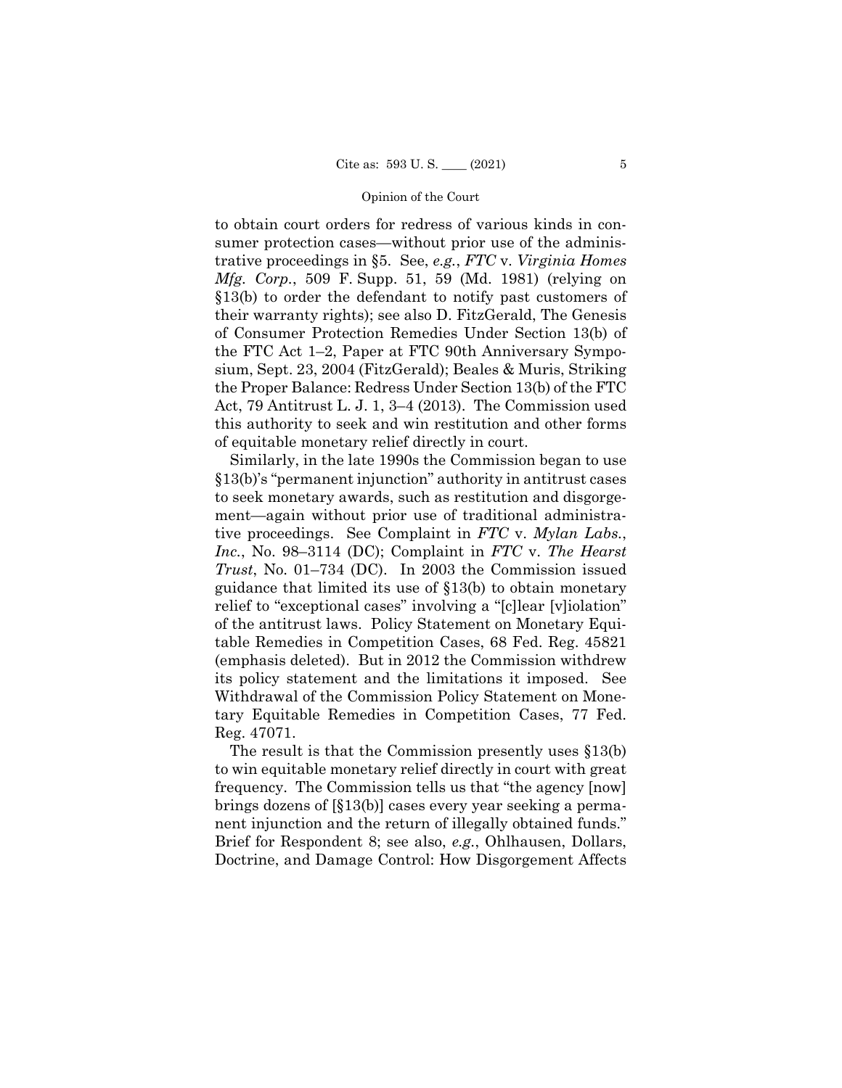to obtain court orders for redress of various kinds in consumer protection cases—without prior use of the administrative proceedings in §5. See, *e.g.*, *FTC* v. *Virginia Homes Mfg. Corp.*, 509 F. Supp. 51, 59 (Md. 1981) (relying on §13(b) to order the defendant to notify past customers of their warranty rights); see also D. FitzGerald, The Genesis of Consumer Protection Remedies Under Section 13(b) of the FTC Act 1–2, Paper at FTC 90th Anniversary Symposium, Sept. 23, 2004 (FitzGerald); Beales & Muris, Striking the Proper Balance: Redress Under Section 13(b) of the FTC Act, 79 Antitrust L. J. 1, 3–4 (2013). The Commission used this authority to seek and win restitution and other forms of equitable monetary relief directly in court.

 *Trust*, No. 01–734 (DC). In 2003 the Commission issued (emphasis deleted). But in 2012 the Commission withdrew Similarly, in the late 1990s the Commission began to use §13(b)'s "permanent injunction" authority in antitrust cases to seek monetary awards, such as restitution and disgorgement—again without prior use of traditional administrative proceedings. See Complaint in *FTC* v. *Mylan Labs.*, *Inc.*, No. 98–3114 (DC); Complaint in *FTC* v. *The Hearst*  guidance that limited its use of §13(b) to obtain monetary relief to "exceptional cases" involving a "[c]lear [v]iolation" of the antitrust laws. Policy Statement on Monetary Equitable Remedies in Competition Cases, 68 Fed. Reg. 45821 its policy statement and the limitations it imposed. See Withdrawal of the Commission Policy Statement on Monetary Equitable Remedies in Competition Cases, 77 Fed. Reg. 47071.

The result is that the Commission presently uses §13(b) to win equitable monetary relief directly in court with great frequency. The Commission tells us that "the agency [now] brings dozens of [§13(b)] cases every year seeking a permanent injunction and the return of illegally obtained funds." Brief for Respondent 8; see also, *e.g.*, Ohlhausen, Dollars, Doctrine, and Damage Control: How Disgorgement Affects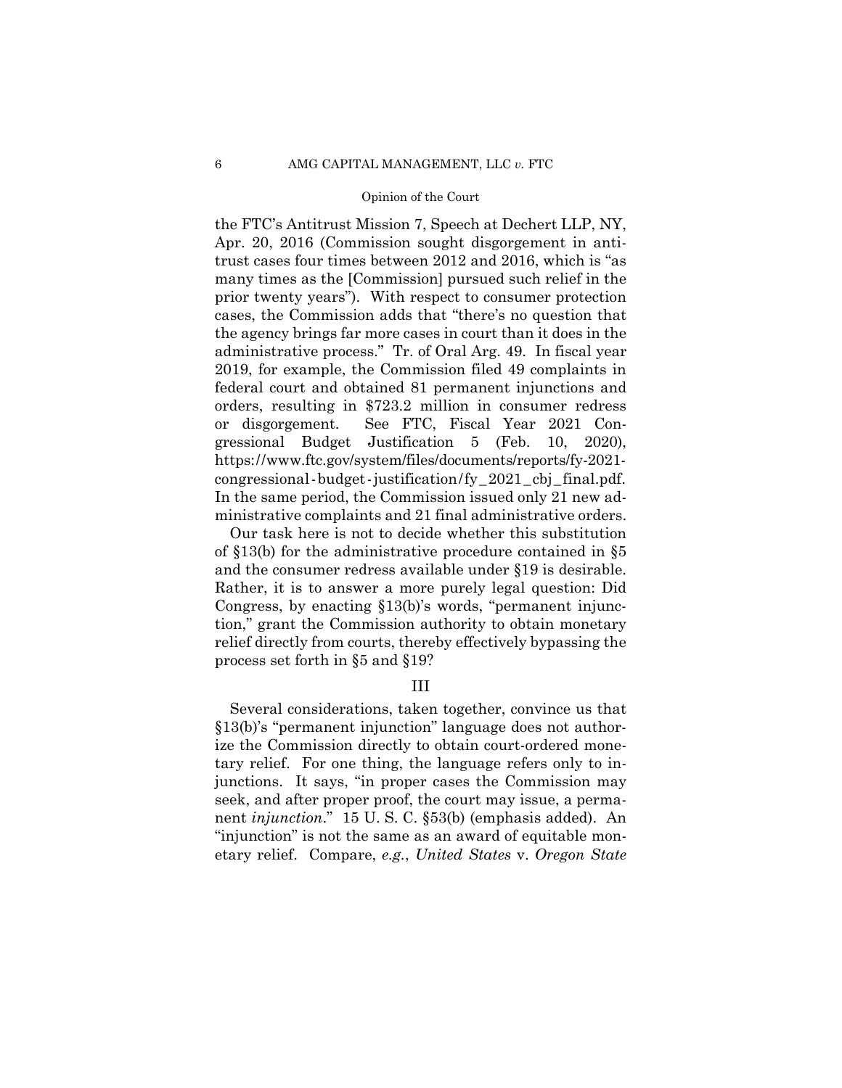https://www.ftc.gov/system/files/documents/reports/fy-2021- congressional-budget-justification/fy\_2021\_cbj\_final.pdf. the FTC's Antitrust Mission 7, Speech at Dechert LLP, NY, Apr. 20, 2016 (Commission sought disgorgement in antitrust cases four times between 2012 and 2016, which is "as many times as the [Commission] pursued such relief in the prior twenty years"). With respect to consumer protection cases, the Commission adds that "there's no question that the agency brings far more cases in court than it does in the administrative process." Tr. of Oral Arg. 49. In fiscal year 2019, for example, the Commission filed 49 complaints in federal court and obtained 81 permanent injunctions and orders, resulting in \$723.2 million in consumer redress or disgorgement. See FTC, Fiscal Year 2021 Congressional Budget Justification 5 (Feb. 10, 2020), In the same period, the Commission issued only 21 new administrative complaints and 21 final administrative orders.

Our task here is not to decide whether this substitution of §13(b) for the administrative procedure contained in §5 and the consumer redress available under §19 is desirable. Rather, it is to answer a more purely legal question: Did Congress, by enacting §13(b)'s words, "permanent injunction," grant the Commission authority to obtain monetary relief directly from courts, thereby effectively bypassing the process set forth in §5 and §19?

## III

Several considerations, taken together, convince us that §13(b)'s "permanent injunction" language does not authorize the Commission directly to obtain court-ordered monetary relief. For one thing, the language refers only to injunctions. It says, "in proper cases the Commission may seek, and after proper proof, the court may issue, a permanent *injunction*." 15 U. S. C. §53(b) (emphasis added). An "injunction" is not the same as an award of equitable monetary relief. Compare, *e.g.*, *United States* v. *Oregon State*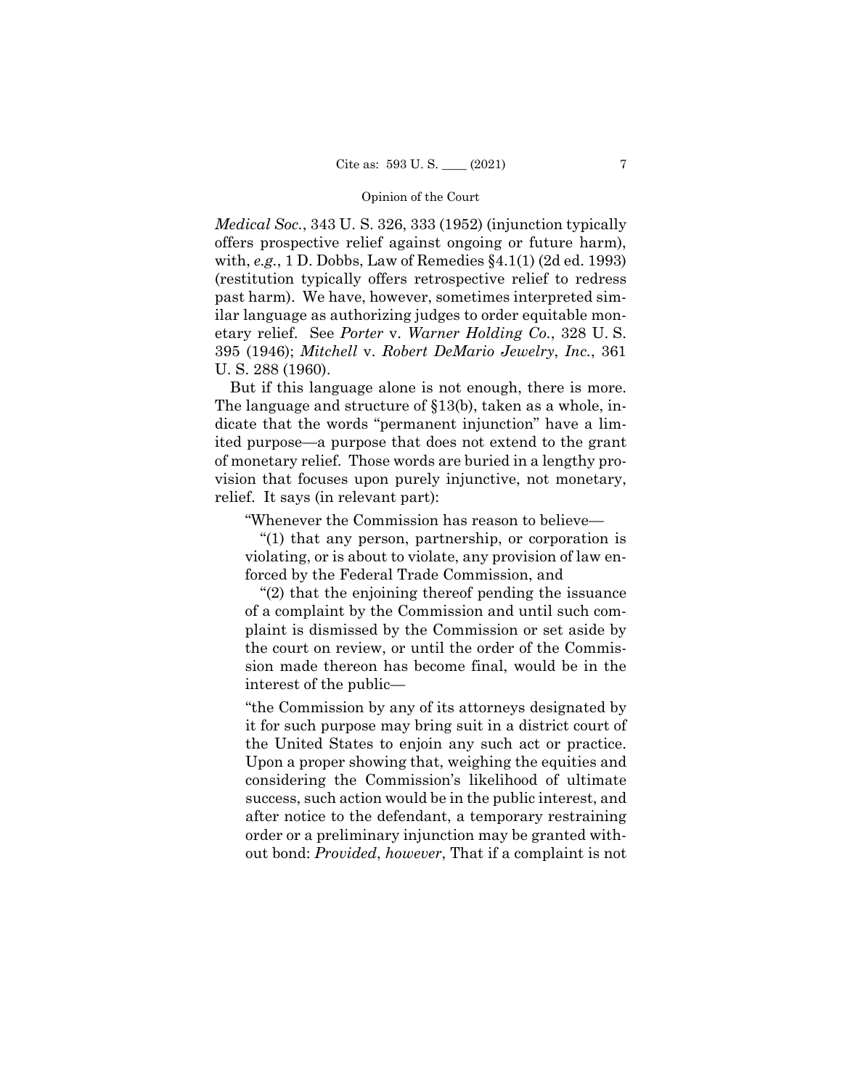*Medical Soc.*, 343 U. S. 326, 333 (1952) (injunction typically offers prospective relief against ongoing or future harm), with, *e.g.*, 1 D. Dobbs, Law of Remedies §4.1(1) (2d ed. 1993) (restitution typically offers retrospective relief to redress past harm). We have, however, sometimes interpreted similar language as authorizing judges to order equitable monetary relief. See *Porter* v. *Warner Holding Co.*, 328 U. S. 395 (1946); *Mitchell* v. *Robert DeMario Jewelry*, *Inc.*, 361 U. S. 288 (1960).

But if this language alone is not enough, there is more. The language and structure of §13(b), taken as a whole, indicate that the words "permanent injunction" have a limited purpose—a purpose that does not extend to the grant of monetary relief. Those words are buried in a lengthy provision that focuses upon purely injunctive, not monetary, relief. It says (in relevant part):

"Whenever the Commission has reason to believe—

"(1) that any person, partnership, or corporation is violating, or is about to violate, any provision of law enforced by the Federal Trade Commission, and

"(2) that the enjoining thereof pending the issuance of a complaint by the Commission and until such complaint is dismissed by the Commission or set aside by the court on review, or until the order of the Commission made thereon has become final, would be in the interest of the public—

 the United States to enjoin any such act or practice. "the Commission by any of its attorneys designated by it for such purpose may bring suit in a district court of Upon a proper showing that, weighing the equities and considering the Commission's likelihood of ultimate success, such action would be in the public interest, and after notice to the defendant, a temporary restraining order or a preliminary injunction may be granted without bond: *Provided*, *however*, That if a complaint is not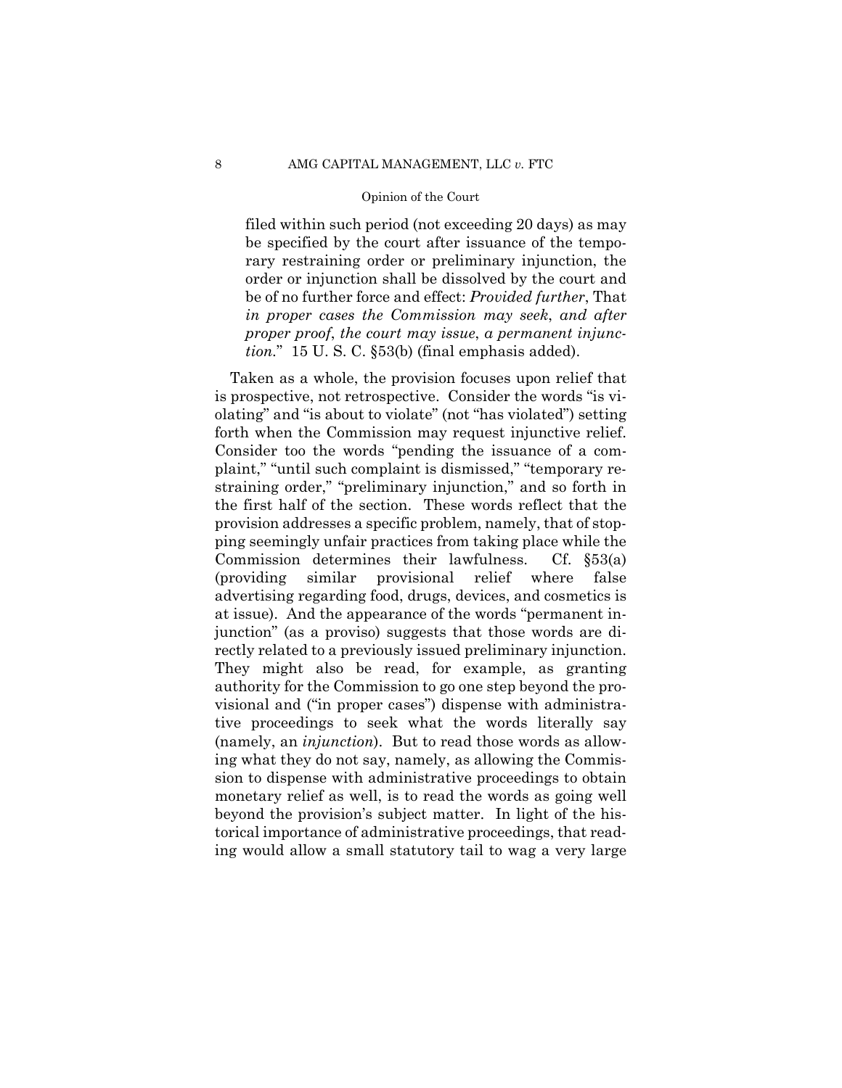filed within such period (not exceeding 20 days) as may be specified by the court after issuance of the temporary restraining order or preliminary injunction, the order or injunction shall be dissolved by the court and be of no further force and effect: *Provided further*, That *in proper cases the Commission may seek*, *and after proper proof*, *the court may issue*, *a permanent injunction.*" 15 U. S. C. §53(b) (final emphasis added).

Taken as a whole, the provision focuses upon relief that is prospective, not retrospective. Consider the words "is violating" and "is about to violate" (not "has violated") setting forth when the Commission may request injunctive relief. Consider too the words "pending the issuance of a complaint," "until such complaint is dismissed," "temporary restraining order," "preliminary injunction," and so forth in the first half of the section. These words reflect that the provision addresses a specific problem, namely, that of stopping seemingly unfair practices from taking place while the Commission determines their lawfulness. Cf. §53(a) (providing similar provisional relief where false advertising regarding food, drugs, devices, and cosmetics is at issue). And the appearance of the words "permanent injunction" (as a proviso) suggests that those words are directly related to a previously issued preliminary injunction. They might also be read, for example, as granting authority for the Commission to go one step beyond the provisional and ("in proper cases") dispense with administrative proceedings to seek what the words literally say (namely, an *injunction*). But to read those words as allowing what they do not say, namely, as allowing the Commission to dispense with administrative proceedings to obtain monetary relief as well, is to read the words as going well beyond the provision's subject matter. In light of the historical importance of administrative proceedings, that reading would allow a small statutory tail to wag a very large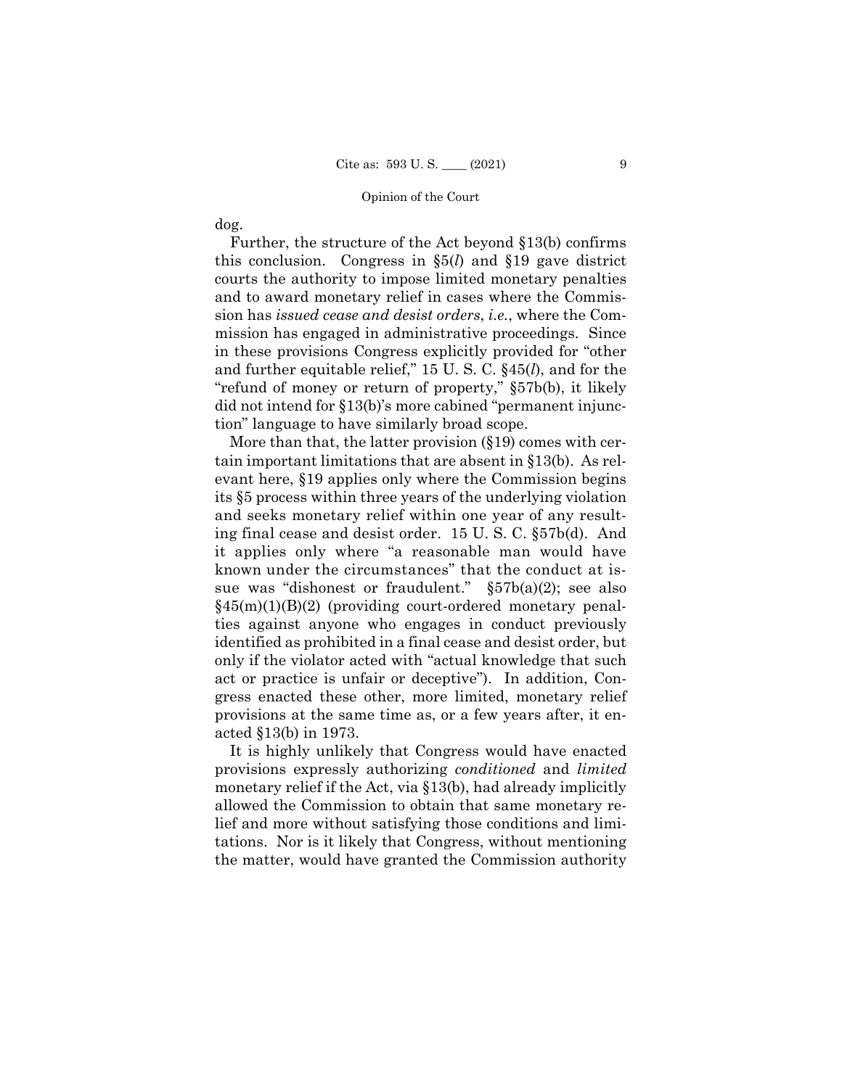dog.

Further, the structure of the Act beyond §13(b) confirms this conclusion. Congress in §5(*l*) and §19 gave district courts the authority to impose limited monetary penalties and to award monetary relief in cases where the Commission has *issued cease and desist orders*, *i.e.*, where the Commission has engaged in administrative proceedings. Since in these provisions Congress explicitly provided for "other and further equitable relief," 15 U. S. C. §45(*l*), and for the "refund of money or return of property," §57b(b), it likely did not intend for §13(b)'s more cabined "permanent injunction" language to have similarly broad scope.

More than that, the latter provision (§19) comes with certain important limitations that are absent in §13(b). As relevant here, §19 applies only where the Commission begins its §5 process within three years of the underlying violation and seeks monetary relief within one year of any resulting final cease and desist order. 15 U. S. C. §57b(d). And it applies only where "a reasonable man would have known under the circumstances" that the conduct at issue was "dishonest or fraudulent." §57b(a)(2); see also  $§45(m)(1)(B)(2)$  (providing court-ordered monetary penalties against anyone who engages in conduct previously identified as prohibited in a final cease and desist order, but only if the violator acted with "actual knowledge that such act or practice is unfair or deceptive"). In addition, Congress enacted these other, more limited, monetary relief provisions at the same time as, or a few years after, it enacted §13(b) in 1973.

It is highly unlikely that Congress would have enacted provisions expressly authorizing *conditioned* and *limited*  monetary relief if the Act, via §13(b), had already implicitly allowed the Commission to obtain that same monetary relief and more without satisfying those conditions and limitations. Nor is it likely that Congress, without mentioning the matter, would have granted the Commission authority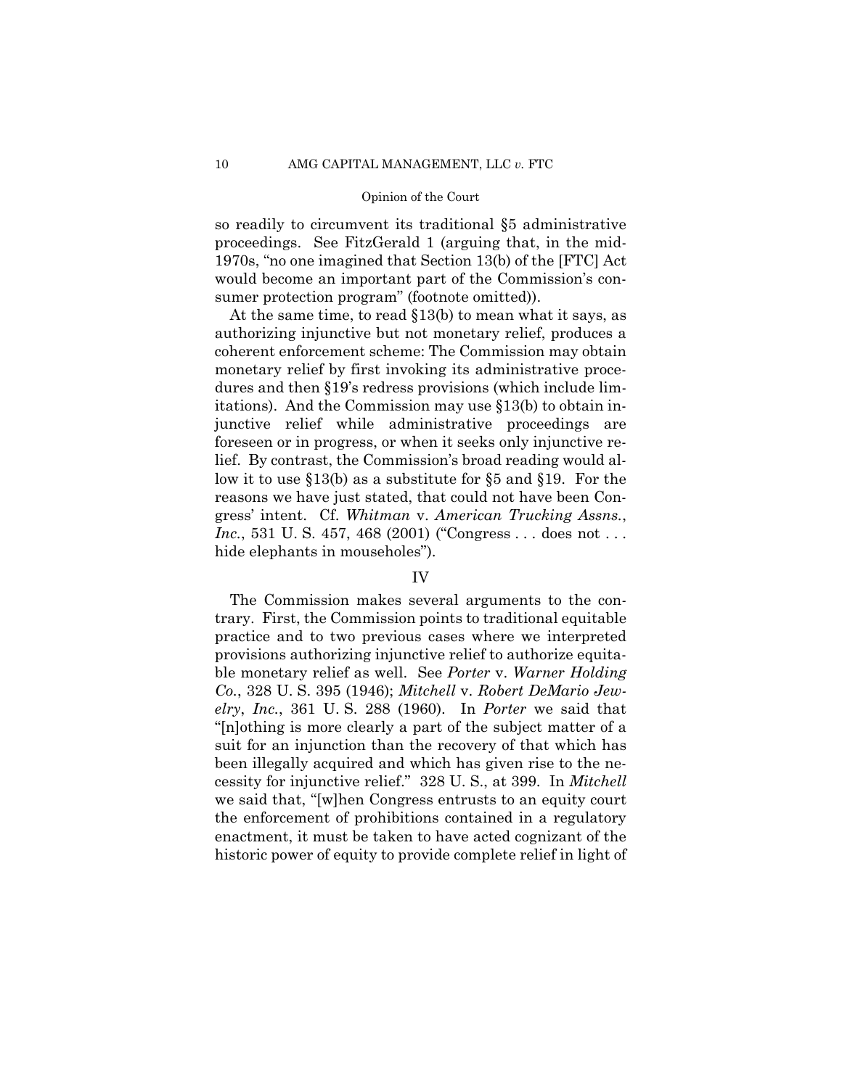so readily to circumvent its traditional §5 administrative proceedings. See FitzGerald 1 (arguing that, in the mid-1970s, "no one imagined that Section 13(b) of the [FTC] Act would become an important part of the Commission's consumer protection program" (footnote omitted)).

At the same time, to read §13(b) to mean what it says, as authorizing injunctive but not monetary relief, produces a coherent enforcement scheme: The Commission may obtain monetary relief by first invoking its administrative procedures and then §19's redress provisions (which include limitations). And the Commission may use §13(b) to obtain injunctive relief while administrative proceedings are foreseen or in progress, or when it seeks only injunctive relief. By contrast, the Commission's broad reading would allow it to use §13(b) as a substitute for §5 and §19. For the reasons we have just stated, that could not have been Congress' intent. Cf. *Whitman* v. *American Trucking Assns.*, *Inc.*, 531 U. S. 457, 468 (2001) ("Congress . . . does not . . . hide elephants in mouseholes").

#### IV

The Commission makes several arguments to the contrary. First, the Commission points to traditional equitable practice and to two previous cases where we interpreted provisions authorizing injunctive relief to authorize equitable monetary relief as well. See *Porter* v. *Warner Holding Co.*, 328 U. S. 395 (1946); *Mitchell* v. *Robert DeMario Jewelry*, *Inc.*, 361 U. S. 288 (1960). In *Porter* we said that "[n]othing is more clearly a part of the subject matter of a suit for an injunction than the recovery of that which has been illegally acquired and which has given rise to the necessity for injunctive relief." 328 U. S., at 399. In *Mitchell*  we said that, "[w]hen Congress entrusts to an equity court the enforcement of prohibitions contained in a regulatory enactment, it must be taken to have acted cognizant of the historic power of equity to provide complete relief in light of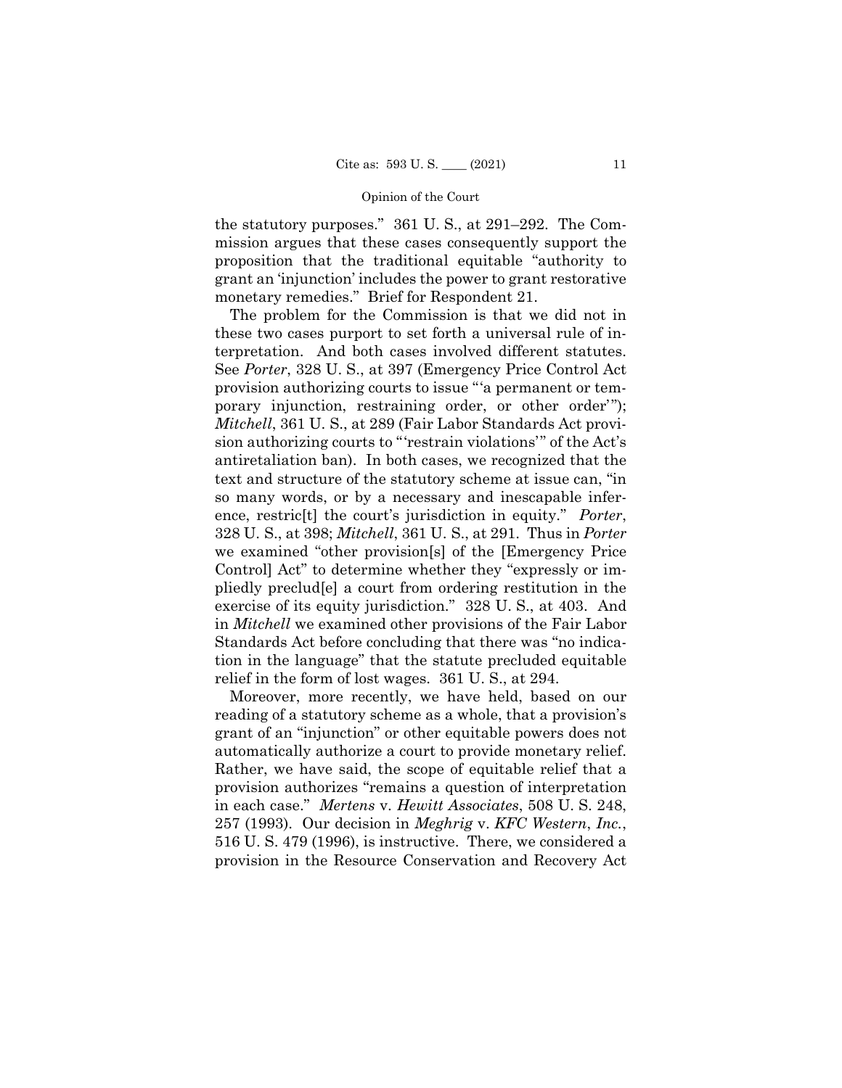the statutory purposes." 361 U. S., at 291–292. The Commission argues that these cases consequently support the proposition that the traditional equitable "authority to grant an 'injunction' includes the power to grant restorative monetary remedies." Brief for Respondent 21.

 antiretaliation ban). In both cases, we recognized that the The problem for the Commission is that we did not in these two cases purport to set forth a universal rule of interpretation. And both cases involved different statutes. See *Porter*, 328 U. S., at 397 (Emergency Price Control Act provision authorizing courts to issue "'a permanent or temporary injunction, restraining order, or other order'"); *Mitchell*, 361 U. S., at 289 (Fair Labor Standards Act provision authorizing courts to "'restrain violations'" of the Act's text and structure of the statutory scheme at issue can, "in so many words, or by a necessary and inescapable inference, restric[t] the court's jurisdiction in equity." *Porter*, 328 U. S., at 398; *Mitchell*, 361 U. S., at 291. Thus in *Porter*  we examined "other provision[s] of the [Emergency Price Control] Act" to determine whether they "expressly or impliedly preclud[e] a court from ordering restitution in the exercise of its equity jurisdiction." 328 U. S., at 403. And in *Mitchell* we examined other provisions of the Fair Labor Standards Act before concluding that there was "no indication in the language" that the statute precluded equitable relief in the form of lost wages. 361 U. S., at 294.

Moreover, more recently, we have held, based on our reading of a statutory scheme as a whole, that a provision's grant of an "injunction" or other equitable powers does not automatically authorize a court to provide monetary relief. Rather, we have said, the scope of equitable relief that a provision authorizes "remains a question of interpretation in each case." *Mertens* v. *Hewitt Associates*, 508 U. S. 248, 257 (1993). Our decision in *Meghrig* v. *KFC Western*, *Inc.*, 516 U. S. 479 (1996), is instructive. There, we considered a provision in the Resource Conservation and Recovery Act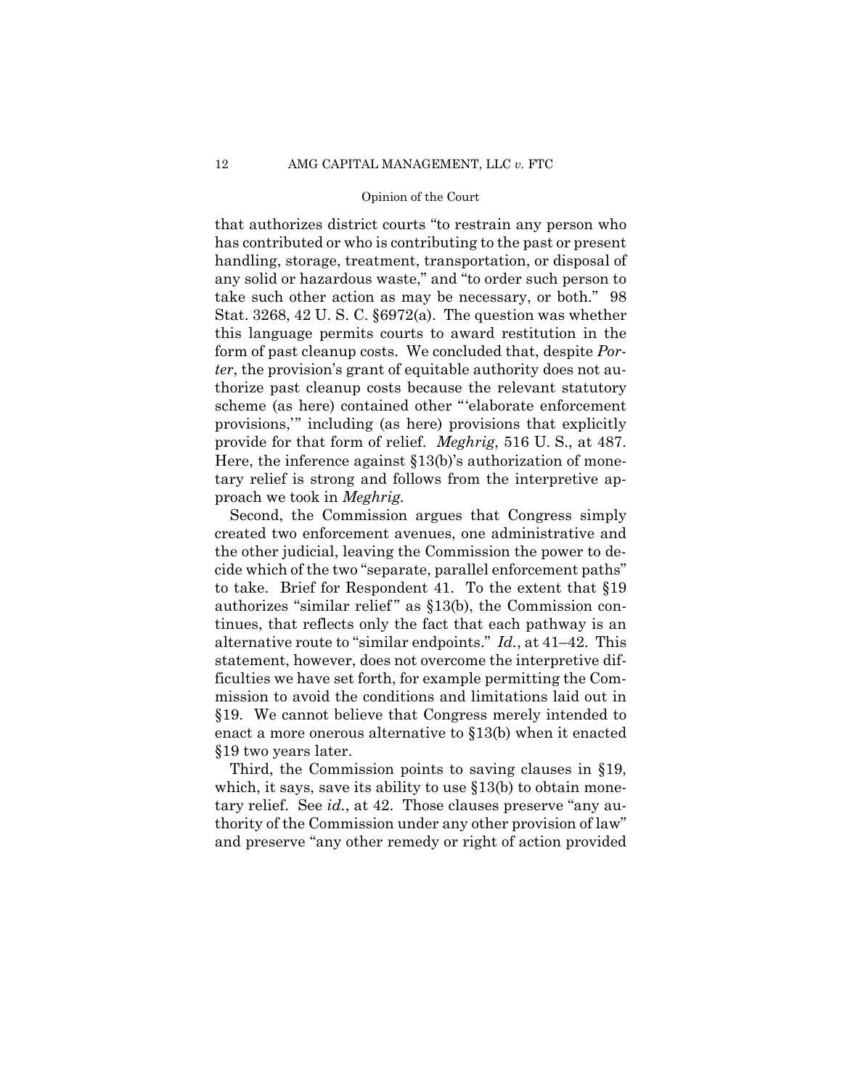provide for that form of relief. *Meghrig*, 516 U.S., at 487. that authorizes district courts "to restrain any person who has contributed or who is contributing to the past or present handling, storage, treatment, transportation, or disposal of any solid or hazardous waste," and "to order such person to take such other action as may be necessary, or both." 98 Stat. 3268, 42 U. S. C. §6972(a). The question was whether this language permits courts to award restitution in the form of past cleanup costs. We concluded that, despite *Porter*, the provision's grant of equitable authority does not authorize past cleanup costs because the relevant statutory scheme (as here) contained other "'elaborate enforcement provisions,'" including (as here) provisions that explicitly Here, the inference against §13(b)'s authorization of monetary relief is strong and follows from the interpretive approach we took in *Meghrig.*

 alternative route to "similar endpoints." *Id.*, at 41–42. This Second, the Commission argues that Congress simply created two enforcement avenues, one administrative and the other judicial, leaving the Commission the power to decide which of the two "separate, parallel enforcement paths" to take. Brief for Respondent 41. To the extent that §19 authorizes "similar relief" as  $$13(b)$ , the Commission continues, that reflects only the fact that each pathway is an statement, however, does not overcome the interpretive difficulties we have set forth, for example permitting the Commission to avoid the conditions and limitations laid out in §19. We cannot believe that Congress merely intended to enact a more onerous alternative to §13(b) when it enacted §19 two years later.

Third, the Commission points to saving clauses in §19, which, it says, save its ability to use §13(b) to obtain monetary relief. See *id.*, at 42. Those clauses preserve "any authority of the Commission under any other provision of law" and preserve "any other remedy or right of action provided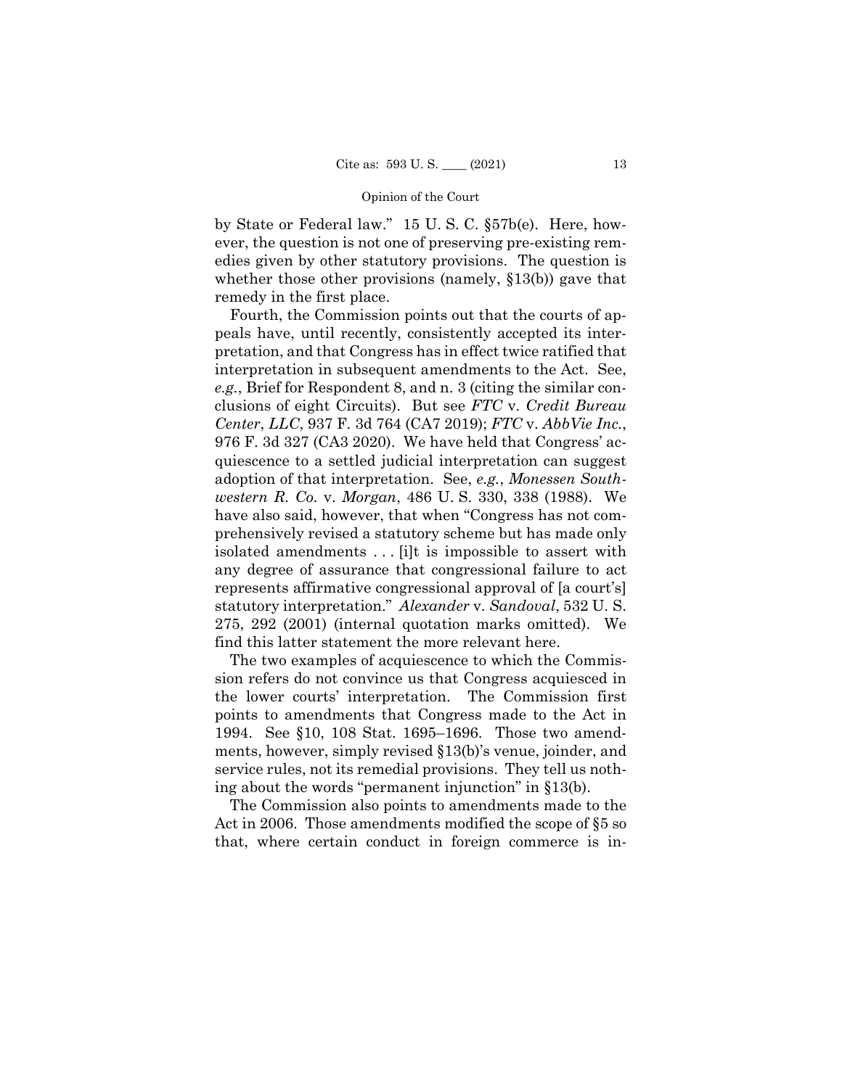by State or Federal law." 15 U. S. C. §57b(e). Here, however, the question is not one of preserving pre-existing remedies given by other statutory provisions. The question is whether those other provisions (namely,  $\S 13(b)$ ) gave that remedy in the first place.

Fourth, the Commission points out that the courts of appeals have, until recently, consistently accepted its interpretation, and that Congress has in effect twice ratified that interpretation in subsequent amendments to the Act. See, *e.g.*, Brief for Respondent 8, and n. 3 (citing the similar conclusions of eight Circuits). But see *FTC* v. *Credit Bureau Center*, *LLC*, 937 F. 3d 764 (CA7 2019); *FTC* v. *AbbVie Inc.*, 976 F. 3d 327 (CA3 2020). We have held that Congress' acquiescence to a settled judicial interpretation can suggest adoption of that interpretation. See, *e.g.*, *Monessen Southwestern R. Co.* v. *Morgan*, 486 U. S. 330, 338 (1988). We have also said, however, that when "Congress has not comprehensively revised a statutory scheme but has made only isolated amendments . . . [i]t is impossible to assert with any degree of assurance that congressional failure to act represents affirmative congressional approval of [a court's] statutory interpretation." *Alexander* v. *Sandoval*, 532 U. S. 275, 292 (2001) (internal quotation marks omitted). We find this latter statement the more relevant here.

The two examples of acquiescence to which the Commission refers do not convince us that Congress acquiesced in the lower courts' interpretation. The Commission first points to amendments that Congress made to the Act in 1994. See §10, 108 Stat. 1695–1696. Those two amendments, however, simply revised §13(b)'s venue, joinder, and service rules, not its remedial provisions. They tell us nothing about the words "permanent injunction" in §13(b).

The Commission also points to amendments made to the Act in 2006. Those amendments modified the scope of §5 so that, where certain conduct in foreign commerce is in-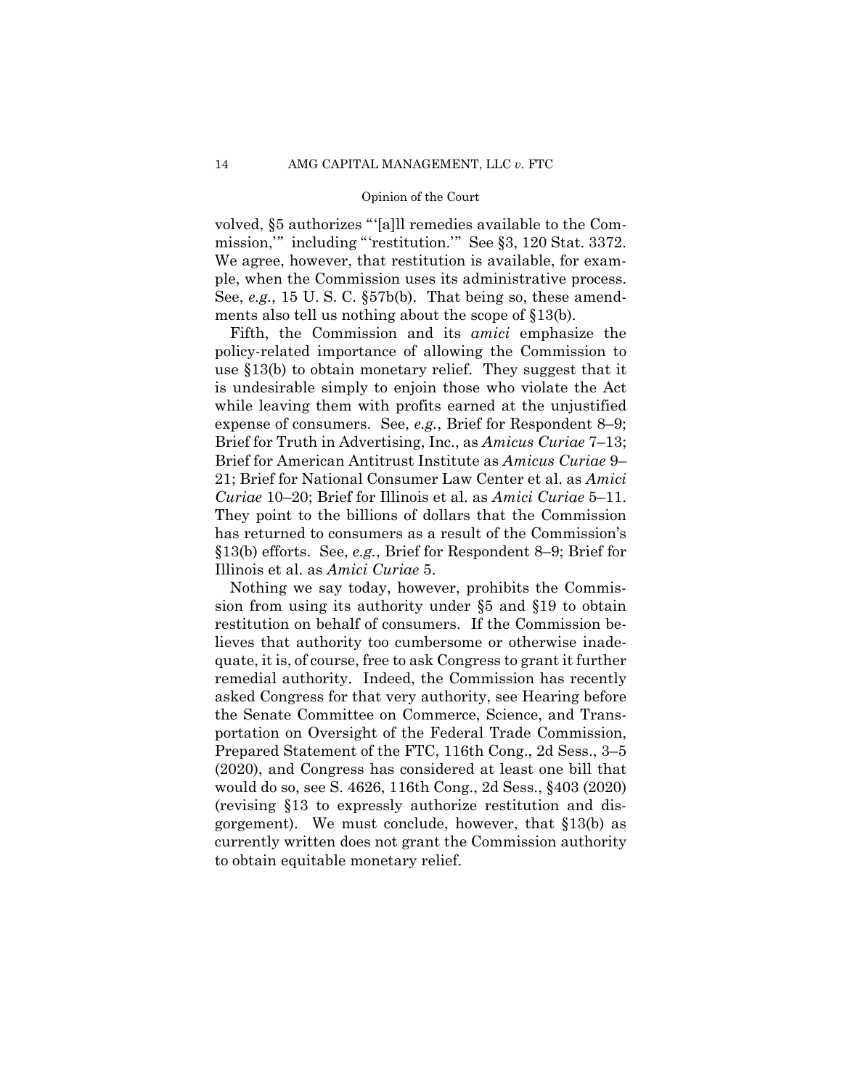volved, §5 authorizes "'[a]ll remedies available to the Commission,'" including "'restitution.'" See §3, 120 Stat. 3372. We agree, however, that restitution is available, for example, when the Commission uses its administrative process. See, *e.g.*, 15 U. S. C. §57b(b). That being so, these amendments also tell us nothing about the scope of §13(b).

 Fifth, the Commission and its *amici* emphasize the policy-related importance of allowing the Commission to use §13(b) to obtain monetary relief. They suggest that it is undesirable simply to enjoin those who violate the Act while leaving them with profits earned at the unjustified expense of consumers. See, *e.g.*, Brief for Respondent 8–9; Brief for Truth in Advertising, Inc., as *Amicus Curiae* 7–13; Brief for American Antitrust Institute as *Amicus Curiae* 9– 21; Brief for National Consumer Law Center et al. as *Amici Curiae* 10–20; Brief for Illinois et al. as *Amici Curiae* 5–11. They point to the billions of dollars that the Commission has returned to consumers as a result of the Commission's §13(b) efforts. See, *e.g.*, Brief for Respondent 8–9; Brief for Illinois et al. as *Amici Curiae* 5.

Nothing we say today, however, prohibits the Commission from using its authority under §5 and §19 to obtain restitution on behalf of consumers. If the Commission believes that authority too cumbersome or otherwise inadequate, it is, of course, free to ask Congress to grant it further remedial authority. Indeed, the Commission has recently asked Congress for that very authority, see Hearing before the Senate Committee on Commerce, Science, and Transportation on Oversight of the Federal Trade Commission, Prepared Statement of the FTC, 116th Cong., 2d Sess., 3–5 (2020), and Congress has considered at least one bill that would do so, see S. 4626, 116th Cong., 2d Sess., §403 (2020) (revising §13 to expressly authorize restitution and disgorgement). We must conclude, however, that §13(b) as currently written does not grant the Commission authority to obtain equitable monetary relief.